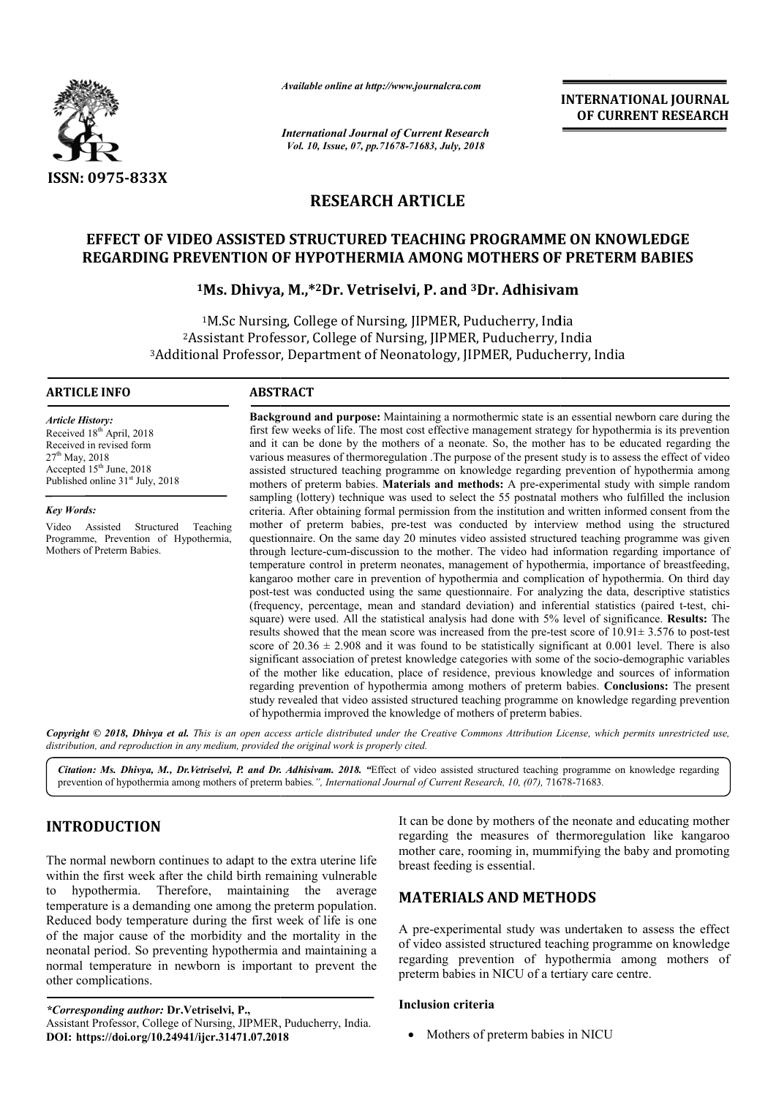

*Available online at http://www.journalcra.com*

*International Journal of Current Research Vol. 10, Issue, 07, pp.71678-71683, July, 2018*

**INTERNATIONAL JOURNAL OF CURRENT RESEARCH**

# **RESEARCH ARTICLE**

# **EFFECT OF VIDEO ASSISTED STRUCTURED TEACHING PROGRAMME ON KNOWLEDGE REGARDING PREVENTION OF HYPOTHERMIA AMONG MOTHERS OF PRETERM BABIES REGARDING PREVENTION OF PRETERM BABIES**

# **1Ms. Dhivya, M.,\* Ms. M.,\*2Dr. Vetriselvi, P. and 3Dr. Adhisivam**

1M.Sc Nursing, College of Nursing, JIPMER, Puducherry, India <sup>1</sup>M.Sc Nursing, College of Nursing, JIPMER, Puducherry, India<br><sup>2</sup>Assistant Professor, College of Nursing, JIPMER, Puducherry, India <sup>1</sup>M.Sc Nursing, College of Nursing, JIPMER, Puducherry, India<br><sup>2</sup>Assistant Professor, College of Nursing, JIPMER, Puducherry, India<sup>3</sup>Additional Professor, Department of Neonatology, JIPMER, Puducherry, India

#### **ARTICLE INFO ABSTRACT**

*Article History:* Received 18<sup>th</sup> April, 2018 Received in revised form  $27<sup>th</sup>$  May, 2018 Accepted 15<sup>th</sup> June, 2018 Published online  $31<sup>st</sup>$  July, 2018

*Key Words:*

Video Assisted Structured Teaching Programme, Prevention of Hypothermia, Mothers of Preterm Babies.

**Background and purpose:** Maintaining a normothermic state is an essential newborn care during the first few weeks of life. The most cost effective management strategy for hypothermia is its prevention and it can be done by the mothers of a neonate. So, the mother has to be educated regarding the various measures of thermoregulation . .The purpose of the present study is to assess the effect of video assisted structured teaching programme on knowledge regarding prevention of hypothermia among mothers of preterm babies. **Materials and methods:** A pre-experimental study with simple random sampling (lottery) technique was used to select the 55 postnatal mothers who fulfilled the inclusion criteria. After obtaining formal permission from the institution and written informed consent from the mother of preterm babies, pre-test was conducted by interview method using the structured questionnaire. On the same day 20 minutes video assisted structured teaching programme was given through lecture-cum-discussion to the mother. The video had information regarding importance of temperature control in preterm neonates, management of hypothermia, importance of breastfeeding, kangaroo mother care in prevention of hypothermia and complication of hypothermia. On third day post-test was conducted using the same questionnaire. For analyzing the data, descriptive statistics (frequency, percentage, mean and standard deviation) and inferential statistics (paired t post-test was conducted using the same questionnaire. For analyzing the data, descriptive statistics (frequency, percentage, mean and standard deviation) and inferential statistics (paired t-test, chi-<br>square) were used. A results showed that the mean score was increased from the pre-test score of  $10.91 \pm 3.576$  to post-test score of  $20.36 \pm 2.908$  and it was found to be statistically significant at 0.001 level. There is also score of  $20.36 \pm 2.908$  and it was found to be statistically significant at 0.001 level. There is also significant association of pretest knowledge categories with some of the socio-demographic variables of the mother like education, place of residence, previous knowledge and sources of information of the mother like education, place of residence, previous knowledge and sources of information regarding prevention of hypothermia among mothers of preterm babies. **Conclusions:** The present study revealed that video assisted structured teaching programme on knowledge regarding prevention of hypothermia improved the knowledge of mothers of preterm babies. of hypothermia improved the knowledge of mothers of preterm babies. **Background and purpose:** Maintaining a normothermic state is an essential newborn care during the first few weeks of life. The most cost effective management strategy for hypothermia is its prevention and it can be done b mother of preterm babies, pre-test was conducted by interview method using the structured questionnaire. On the same day 20 minutes video assisted structured teaching programme was given through lecture-cum-discussion to t **INTERNATIONAL JOURNAL COFFORM CONTROL CORRENT RESEARCH**<br> **COFFORM EXECUTE CORRENT RESEARCH**<br> **COFFORM AND CONTROL CORRENT RESEARCH**<br> **COFFORM AND CONTROL CORRENT CORRENT AMOVE MOTHERS OF PRETERM BABIES<br>
<b>EVALUATION CONTRO** 

Copyright © 2018, Dhivya et al. This is an open access article distributed under the Creative Commons Attribution License, which permits unrestricted use, *distribution, and reproduction in any medium, provided the original work is properly cited.*

Citation: Ms. Dhivya, M., Dr.Vetriselvi, P. and Dr. Adhisivam. 2018. "Effect of video assisted structured teaching programme on knowledge regarding Citation: Ms. Dhivya, M., Dr.Vetriselvi, P. and Dr. Adhisivam. 2018. "Effect of video assisted structured teaching programm<br>prevention of hypothermia among mothers of preterm babies.", International Journal of Current Rese

# **INTRODUCTION**

The normal newborn continues to adapt to the extra uterine life within the first week after the child birth remaining vulnerable to hypothermia. Therefore, maintaining the average temperature is a demanding one among the preterm population. Reduced body temperature during the first week of life is one of the major cause of the morbidity and the mortality in the neonatal period. So preventing hypothermia and maintaining a normal temperature in newborn is important to prevent the other complications. ermia and maintaining<br>mportant to prevent th<br>,<br>PMER, Puducherry, India. It can be done by mothers of the<br>
regarding the measures of the<br>
mother care, rooming in, mummi<br>
breast feeding is essential.<br>
this remaining vulnerable<br>
the average<br>
the preterm population.<br>
first week of life is one<br>
and

*\*Corresponding author:* **Dr.Vetriselvi, P.,** Assistant Professor, College of Nursing, JIPMER, Puducherry, India **DOI: https://doi.org/10.24941/ijcr.31471.07.2018**

regarding the measures of thermoregulation like kangaroo regarding the measures of thermoregulation like kangaroo mother care, rooming in, mummifying the baby and promoting breast feeding is essential. It can be done by mothers of the neonate and educating mother

# **MATERIALS AND METHODS METHODS**

A pre-experimental study was undertaken to assess the effect of video assisted structured teaching programme on knowledge regarding prevention of hypothermia among mothers of preterm babies in NICU of a tertiary care centre.

## **Inclusion criteria**

• Mothers of preterm babies in NICU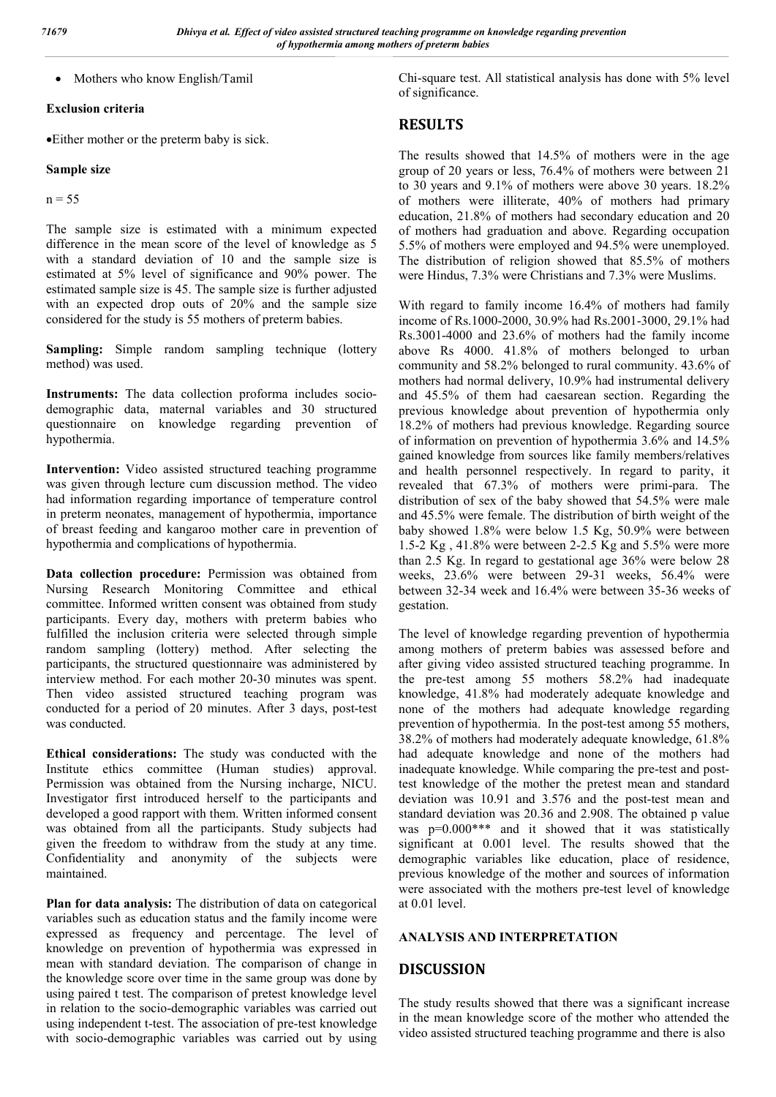• Mothers who know English/Tamil

#### **Exclusion criteria**

Either mother or the preterm baby is sick.

## **Sample size**

 $n = 55$ 

The sample size is estimated with a minimum expected difference in the mean score of the level of knowledge as 5 with a standard deviation of 10 and the sample size is estimated at 5% level of significance and 90% power. The estimated sample size is 45. The sample size is further adjusted with an expected drop outs of 20% and the sample size considered for the study is 55 mothers of preterm babies.

**Sampling:** Simple random sampling technique (lottery method) was used.

**Instruments:** The data collection proforma includes sociodemographic data, maternal variables and 30 structured questionnaire on knowledge regarding prevention of hypothermia.

**Intervention:** Video assisted structured teaching programme was given through lecture cum discussion method. The video had information regarding importance of temperature control in preterm neonates, management of hypothermia, importance of breast feeding and kangaroo mother care in prevention of hypothermia and complications of hypothermia.

**Data collection procedure:** Permission was obtained from Nursing Research Monitoring Committee and ethical committee. Informed written consent was obtained from study participants. Every day, mothers with preterm babies who fulfilled the inclusion criteria were selected through simple random sampling (lottery) method. After selecting the participants, the structured questionnaire was administered by interview method. For each mother 20-30 minutes was spent. Then video assisted structured teaching program was conducted for a period of 20 minutes. After 3 days, post-test was conducted.

**Ethical considerations:** The study was conducted with the Institute ethics committee (Human studies) approval. Permission was obtained from the Nursing incharge, NICU. Investigator first introduced herself to the participants and developed a good rapport with them. Written informed consent was obtained from all the participants. Study subjects had given the freedom to withdraw from the study at any time. Confidentiality and anonymity of the subjects were maintained.

**Plan for data analysis:** The distribution of data on categorical variables such as education status and the family income were expressed as frequency and percentage. The level of knowledge on prevention of hypothermia was expressed in mean with standard deviation. The comparison of change in the knowledge score over time in the same group was done by using paired t test. The comparison of pretest knowledge level in relation to the socio-demographic variables was carried out using independent t-test. The association of pre-test knowledge with socio-demographic variables was carried out by using Chi-square test. All statistical analysis has done with 5% level of significance.

# **RESULTS**

The results showed that 14.5% of mothers were in the age group of 20 years or less, 76.4% of mothers were between 21 to 30 years and 9.1% of mothers were above 30 years. 18.2% of mothers were illiterate, 40% of mothers had primary education, 21.8% of mothers had secondary education and 20 of mothers had graduation and above. Regarding occupation 5.5% of mothers were employed and 94.5% were unemployed. The distribution of religion showed that 85.5% of mothers were Hindus, 7.3% were Christians and 7.3% were Muslims.

With regard to family income 16.4% of mothers had family income of Rs.1000-2000, 30.9% had Rs.2001-3000, 29.1% had Rs.3001-4000 and 23.6% of mothers had the family income above Rs 4000. 41.8% of mothers belonged to urban community and 58.2% belonged to rural community. 43.6% of mothers had normal delivery, 10.9% had instrumental delivery and 45.5% of them had caesarean section. Regarding the previous knowledge about prevention of hypothermia only 18.2% of mothers had previous knowledge. Regarding source of information on prevention of hypothermia 3.6% and 14.5% gained knowledge from sources like family members/relatives and health personnel respectively. In regard to parity, it revealed that 67.3% of mothers were primi-para. The distribution of sex of the baby showed that 54.5% were male and 45.5% were female. The distribution of birth weight of the baby showed 1.8% were below 1.5 Kg, 50.9% were between 1.5-2 Kg , 41.8% were between 2-2.5 Kg and 5.5% were more than 2.5 Kg. In regard to gestational age 36% were below 28 weeks, 23.6% were between 29-31 weeks, 56.4% were between 32-34 week and 16.4% were between 35-36 weeks of gestation.

The level of knowledge regarding prevention of hypothermia among mothers of preterm babies was assessed before and after giving video assisted structured teaching programme. In the pre-test among 55 mothers 58.2% had inadequate knowledge, 41.8% had moderately adequate knowledge and none of the mothers had adequate knowledge regarding prevention of hypothermia. In the post-test among 55 mothers, 38.2% of mothers had moderately adequate knowledge, 61.8% had adequate knowledge and none of the mothers had inadequate knowledge. While comparing the pre-test and posttest knowledge of the mother the pretest mean and standard deviation was 10.91 and 3.576 and the post-test mean and standard deviation was 20.36 and 2.908. The obtained p value was  $p=0.000***$  and it showed that it was statistically significant at 0.001 level. The results showed that the demographic variables like education, place of residence, previous knowledge of the mother and sources of information were associated with the mothers pre-test level of knowledge at 0.01 level.

## **ANALYSIS AND INTERPRETATION**

# **DISCUSSION**

The study results showed that there was a significant increase in the mean knowledge score of the mother who attended the video assisted structured teaching programme and there is also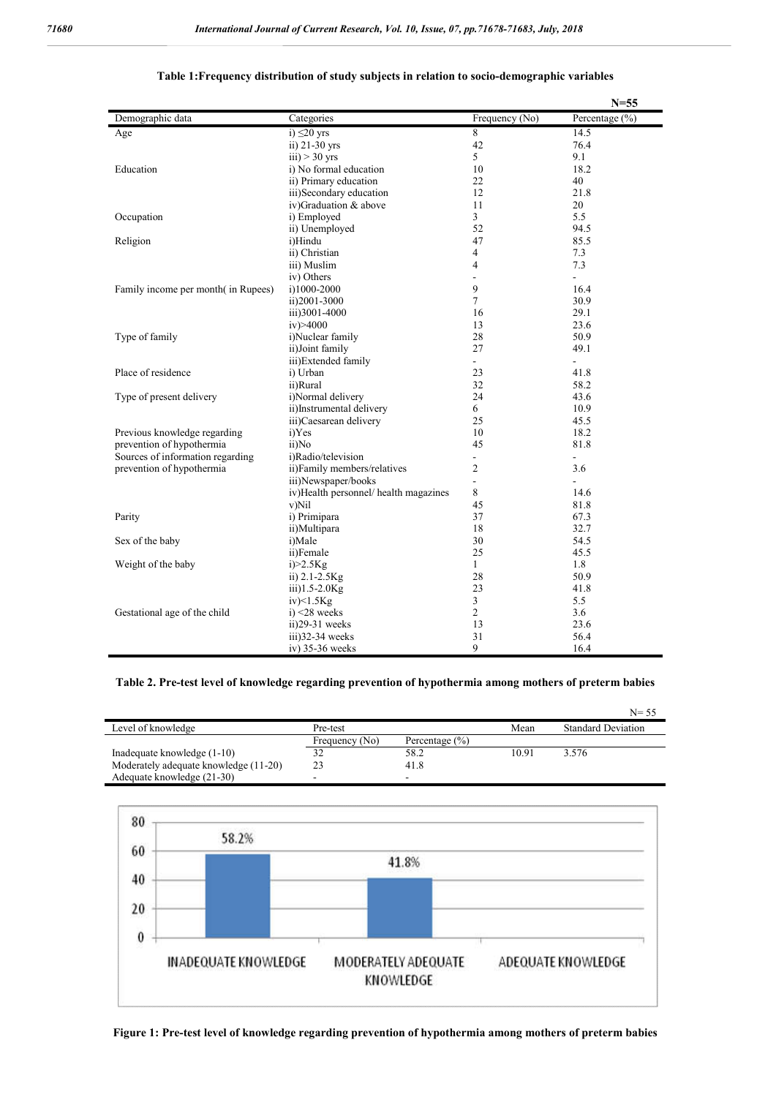|                                     |                                       |                | $N = 55$       |
|-------------------------------------|---------------------------------------|----------------|----------------|
| Demographic data                    | Categories                            | Frequency (No) | Percentage (%) |
| Age                                 | i) $\leq$ 20 yrs                      | 8              | 14.5           |
|                                     | ii) 21-30 yrs                         | 42             | 76.4           |
|                                     | $iii) > 30$ yrs                       | 5              | 9.1            |
| Education                           | i) No formal education                | 10             | 18.2           |
|                                     | ii) Primary education                 | 22             | 40             |
|                                     | iii)Secondary education               | 12             | 21.8           |
|                                     | iv)Graduation & above                 | 11             | 20             |
| Occupation                          | i) Employed                           | $\overline{3}$ | 5.5            |
|                                     | ii) Unemployed                        | 52             | 94.5           |
| Religion                            | i)Hindu                               | 47             | 85.5           |
|                                     | ii) Christian                         | $\overline{4}$ | 7.3            |
|                                     | iii) Muslim                           | $\overline{4}$ | 7.3            |
|                                     | iv) Others                            | ÷.             | $\sim$         |
| Family income per month (in Rupees) | i)1000-2000                           | 9              | 16.4           |
|                                     | ii)2001-3000                          | $\overline{7}$ | 30.9           |
|                                     | iii)3001-4000                         | 16             | 29.1           |
|                                     | iv) > 4000                            | 13             | 23.6           |
| Type of family                      | i)Nuclear family                      | 28             | 50.9           |
|                                     | ii)Joint family                       | 27             | 49.1           |
|                                     | iii)Extended family                   | ÷.             |                |
| Place of residence                  | i) Urban                              | 23             | 41.8           |
|                                     | ii)Rural                              | 32             | 58.2           |
| Type of present delivery            | i)Normal delivery                     | 24             | 43.6           |
|                                     | ii)Instrumental delivery              | 6              | 10.9           |
|                                     | iii)Caesarean delivery                | 25             | 45.5           |
| Previous knowledge regarding        | i)Yes                                 | 10             | 18.2           |
| prevention of hypothermia           | ii)No                                 | 45             | 81.8           |
| Sources of information regarding    | i)Radio/television                    | ÷.             | ÷.             |
| prevention of hypothermia           | ii)Family members/relatives           | $\overline{2}$ | 3.6            |
|                                     | iii)Newspaper/books                   | L.             | ÷.             |
|                                     | iv)Health personnel/ health magazines | 8              | 14.6           |
|                                     | v)Nil                                 | 45             | 81.8           |
| Parity                              | i) Primipara                          | 37             | 67.3           |
|                                     | ii)Multipara                          | 18             | 32.7           |
| Sex of the baby                     | i)Male                                | 30             | 54.5           |
|                                     | ii)Female                             | 25             | 45.5           |
| Weight of the baby                  | $i$ $>2.5$ Kg                         | $\mathbf{1}$   | 1.8            |
|                                     | ii) $2.1 - 2.5$ Kg                    | 28             | 50.9           |
|                                     | $iii)1.5-2.0Kg$                       | 23             | 41.8           |
|                                     | $iv$ $>1.5$ Kg                        | $\overline{3}$ | 5.5            |
| Gestational age of the child        | $i)$ <28 weeks                        | $\overline{2}$ | 3.6            |
|                                     | ii)29-31 weeks                        | 13             | 23.6           |
|                                     | iii)32-34 weeks                       | 31             | 56.4           |
|                                     | iv) 35-36 weeks                       | 9              | 16.4           |

#### **Table 1:Frequency distribution of study subjects in relation to socio-demographic variables**

## **Table 2. Pre-test level of knowledge regarding prevention of hypothermia among mothers of preterm babies**

|                                       |                |                    |       | $N = 55$                  |
|---------------------------------------|----------------|--------------------|-------|---------------------------|
| Level of knowledge                    | Pre-test       |                    | Mean  | <b>Standard Deviation</b> |
|                                       | Frequency (No) | Percentage $(\% )$ |       |                           |
| Inadequate knowledge (1-10)           | 32             | 58.2               | 10.91 | 3.576                     |
| Moderately adequate knowledge (11-20) | 23             | 41.8               |       |                           |
| Adequate knowledge (21-30)            |                |                    |       |                           |



**Figure 1: Pre-test level of knowledge regarding prevention of hypothermia among mothers of preterm babies**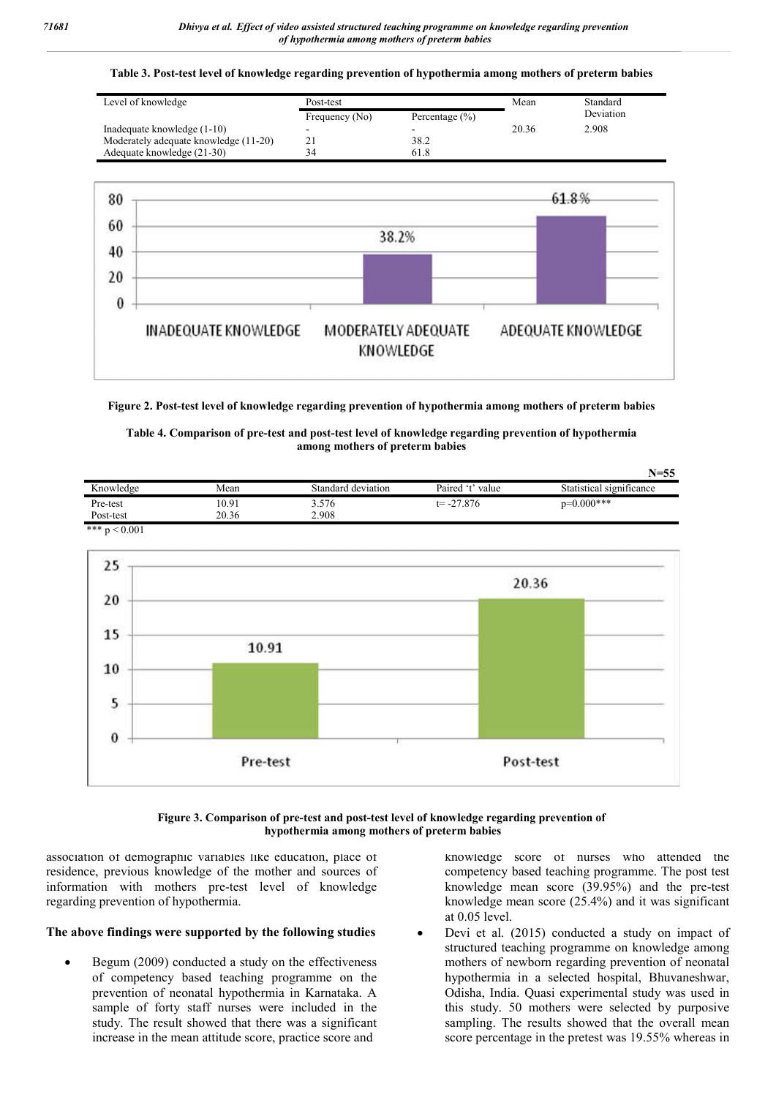**Table 3. Post-test level of knowledge regarding prevention of hypothermia among mothers of preterm babies**

| Level of knowledge                    | Post-test      |                    | Mean  | Standard  |
|---------------------------------------|----------------|--------------------|-------|-----------|
|                                       | Frequency (No) | Percentage $(\% )$ |       | Deviation |
| Inadequate knowledge (1-10)           | -              |                    | 20.36 | 2.908     |
| Moderately adequate knowledge (11-20) |                | 38.2               |       |           |
| Adequate knowledge (21-30)            | 34             | 61.8               |       |           |



**Figure 2. Post-test level of knowledge regarding prevention of hypothermia among mothers of preterm babies**

#### **Table 4. Comparison of pre-test and post-test level of knowledge regarding prevention of hypothermia among mothers of preterm babies**

|           |       |                    |                  | $N = 55$                 |
|-----------|-------|--------------------|------------------|--------------------------|
| Knowledge | Mean  | Standard deviation | Paired 't' value | Statistical significance |
| Pre-test  | 10.91 | 3.576              | $t = -27.876$    | $p=0.000***$             |
| Post-test | 20.36 | 2.908              |                  |                          |

\*\*\*  $p < 0.001$ 



#### **Figure 3. Comparison of pre-test and post-test level of knowledge regarding prevention of hypothermia among mothers of preterm babies**

association of demographic variables like education, place of residence, previous knowledge of the mother and sources of information with mothers pre-test level of knowledge regarding prevention of hypothermia.

## **The above findings were supported by the following studies**

 Begum (2009) conducted a study on the effectiveness of competency based teaching programme on the prevention of neonatal hypothermia in Karnataka. A sample of forty staff nurses were included in the study. The result showed that there was a significant increase in the mean attitude score, practice score and

knowledge score of nurses who attended the competency based teaching programme. The post test knowledge mean score (39.95%) and the pre-test knowledge mean score (25.4%) and it was significant at 0.05 level.

 Devi et al. (2015) conducted a study on impact of structured teaching programme on knowledge among mothers of newborn regarding prevention of neonatal hypothermia in a selected hospital, Bhuvaneshwar, Odisha, India. Quasi experimental study was used in this study. 50 mothers were selected by purposive sampling. The results showed that the overall mean score percentage in the pretest was 19.55% whereas in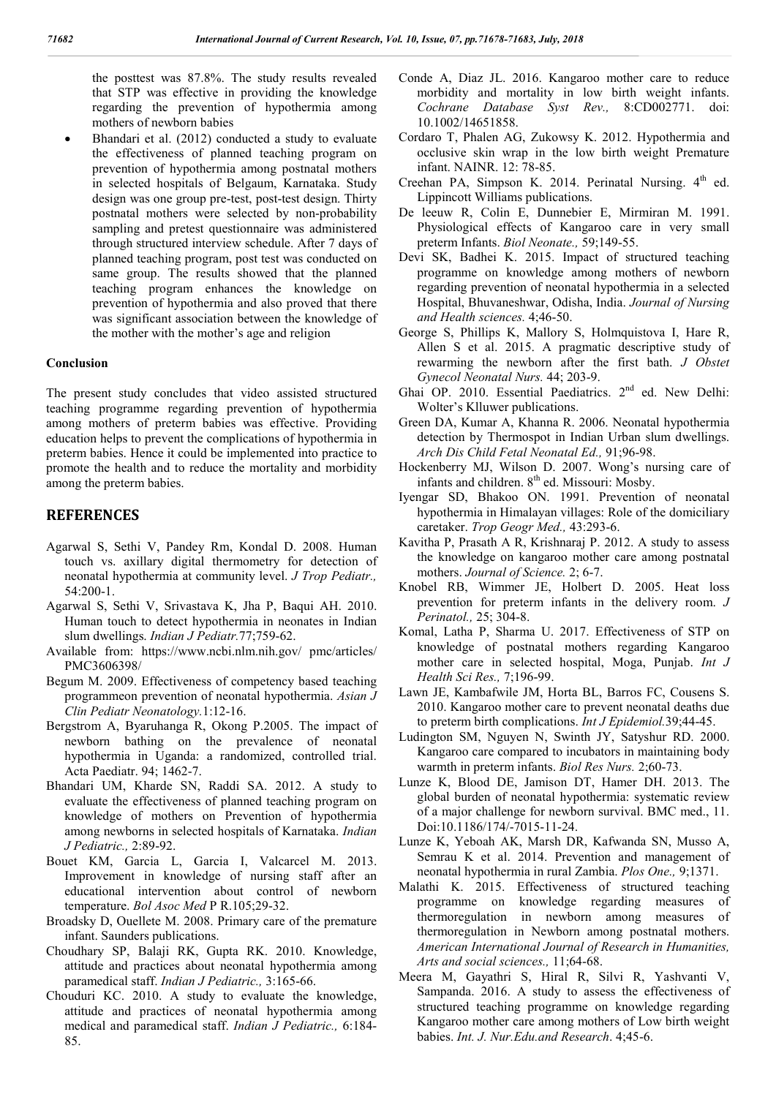the posttest was 87.8%. The study results revealed that STP was effective in providing the knowledge regarding the prevention of hypothermia among mothers of newborn babies

 Bhandari et al. (2012) conducted a study to evaluate the effectiveness of planned teaching program on prevention of hypothermia among postnatal mothers in selected hospitals of Belgaum, Karnataka. Study design was one group pre-test, post-test design. Thirty postnatal mothers were selected by non-probability sampling and pretest questionnaire was administered through structured interview schedule. After 7 days of planned teaching program, post test was conducted on same group. The results showed that the planned teaching program enhances the knowledge on prevention of hypothermia and also proved that there was significant association between the knowledge of the mother with the mother's age and religion

#### **Conclusion**

The present study concludes that video assisted structured teaching programme regarding prevention of hypothermia among mothers of preterm babies was effective. Providing education helps to prevent the complications of hypothermia in preterm babies. Hence it could be implemented into practice to promote the health and to reduce the mortality and morbidity among the preterm babies.

## **REFERENCES**

- Agarwal S, Sethi V, Pandey Rm, Kondal D. 2008. Human touch vs. axillary digital thermometry for detection of neonatal hypothermia at community level. *J Trop Pediatr.,* 54:200-1.
- Agarwal S, Sethi V, Srivastava K, Jha P, Baqui AH. 2010. Human touch to detect hypothermia in neonates in Indian slum dwellings. *Indian J Pediatr.*77;759-62.
- Available from: https://www.ncbi.nlm.nih.gov/ pmc/articles/ PMC3606398/
- Begum M. 2009. Effectiveness of competency based teaching programmeon prevention of neonatal hypothermia. *Asian J Clin Pediatr Neonatology.*1:12-16.
- Bergstrom A, Byaruhanga R, Okong P.2005. The impact of newborn bathing on the prevalence of neonatal hypothermia in Uganda: a randomized, controlled trial. Acta Paediatr. 94; 1462-7.
- Bhandari UM, Kharde SN, Raddi SA. 2012. A study to evaluate the effectiveness of planned teaching program on knowledge of mothers on Prevention of hypothermia among newborns in selected hospitals of Karnataka. *Indian J Pediatric.,* 2:89-92.
- Bouet KM, Garcia L, Garcia I, Valcarcel M. 2013. Improvement in knowledge of nursing staff after an educational intervention about control of newborn temperature. *Bol Asoc Med* P R.105;29-32.
- Broadsky D, Ouellete M. 2008. Primary care of the premature infant. Saunders publications.
- Choudhary SP, Balaji RK, Gupta RK. 2010. Knowledge, attitude and practices about neonatal hypothermia among paramedical staff. *Indian J Pediatric.,* 3:165-66.
- Chouduri KC. 2010. A study to evaluate the knowledge, attitude and practices of neonatal hypothermia among medical and paramedical staff. *Indian J Pediatric.,* 6:184- 85.
- Conde A, Diaz JL. 2016. Kangaroo mother care to reduce morbidity and mortality in low birth weight infants. *Cochrane Database Syst Rev.,* 8:CD002771. doi: 10.1002/14651858.
- Cordaro T, Phalen AG, Zukowsy K. 2012. Hypothermia and occlusive skin wrap in the low birth weight Premature infant. NAINR. 12: 78-85.
- Creehan PA, Simpson K. 2014. Perinatal Nursing.  $4<sup>th</sup>$  ed. Lippincott Williams publications.
- De leeuw R, Colin E, Dunnebier E, Mirmiran M. 1991. Physiological effects of Kangaroo care in very small preterm Infants. *Biol Neonate.,* 59;149-55.
- Devi SK, Badhei K. 2015. Impact of structured teaching programme on knowledge among mothers of newborn regarding prevention of neonatal hypothermia in a selected Hospital, Bhuvaneshwar, Odisha, India. *Journal of Nursing and Health sciences.* 4;46-50.
- George S, Phillips K, Mallory S, Holmquistova I, Hare R, Allen S et al. 2015. A pragmatic descriptive study of rewarming the newborn after the first bath. *J Obstet Gynecol Neonatal Nurs.* 44; 203-9.
- Ghai OP. 2010. Essential Paediatrics. 2<sup>nd</sup> ed. New Delhi: Wolter's Klluwer publications.
- Green DA, Kumar A, Khanna R. 2006. Neonatal hypothermia detection by Thermospot in Indian Urban slum dwellings. *Arch Dis Child Fetal Neonatal Ed.,* 91;96-98.
- Hockenberry MJ, Wilson D. 2007. Wong's nursing care of infants and children. 8<sup>th</sup> ed. Missouri: Mosby.
- Iyengar SD, Bhakoo ON. 1991. Prevention of neonatal hypothermia in Himalayan villages: Role of the domiciliary caretaker. *Trop Geogr Med.,* 43:293-6.
- Kavitha P, Prasath A R, Krishnaraj P. 2012. A study to assess the knowledge on kangaroo mother care among postnatal mothers. *Journal of Science.* 2; 6-7.
- Knobel RB, Wimmer JE, Holbert D. 2005. Heat loss prevention for preterm infants in the delivery room. *J Perinatol.,* 25; 304-8.
- Komal, Latha P, Sharma U. 2017. Effectiveness of STP on knowledge of postnatal mothers regarding Kangaroo mother care in selected hospital, Moga, Punjab. *Int J Health Sci Res.,* 7;196-99.
- Lawn JE, Kambafwile JM, Horta BL, Barros FC, Cousens S. 2010. Kangaroo mother care to prevent neonatal deaths due to preterm birth complications. *Int J Epidemiol.*39;44-45.
- Ludington SM, Nguyen N, Swinth JY, Satyshur RD. 2000. Kangaroo care compared to incubators in maintaining body warmth in preterm infants. *Biol Res Nurs.* 2;60-73.
- Lunze K, Blood DE, Jamison DT, Hamer DH. 2013. The global burden of neonatal hypothermia: systematic review of a major challenge for newborn survival. BMC med., 11. Doi:10.1186/174/-7015-11-24.
- Lunze K, Yeboah AK, Marsh DR, Kafwanda SN, Musso A, Semrau K et al. 2014. Prevention and management of neonatal hypothermia in rural Zambia. *Plos One.,* 9;1371.
- Malathi K. 2015. Effectiveness of structured teaching programme on knowledge regarding measures of thermoregulation in newborn among measures of thermoregulation in Newborn among postnatal mothers. *American International Journal of Research in Humanities, Arts and social sciences.,* 11;64-68.
- Meera M, Gayathri S, Hiral R, Silvi R, Yashvanti V, Sampanda. 2016. A study to assess the effectiveness of structured teaching programme on knowledge regarding Kangaroo mother care among mothers of Low birth weight babies. *Int. J. Nur.Edu.and Research*. 4;45-6.